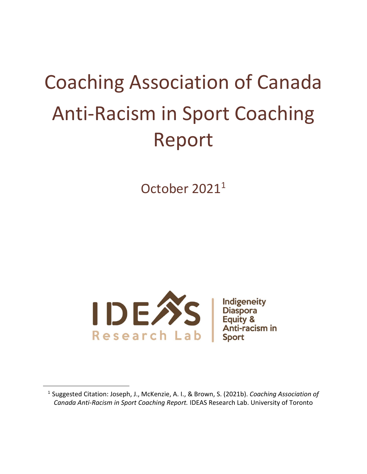# Coaching Association of Canada Anti-Racism in Sport Coaching Report

October 2021<sup>1</sup>



 $\overline{a}$ 

<sup>1</sup> Suggested Citation: Joseph, J., McKenzie, A. I., & Brown, S. (2021b). *Coaching Association of Canada Anti-Racism in Sport Coaching Report.* IDEAS Research Lab. University of Toronto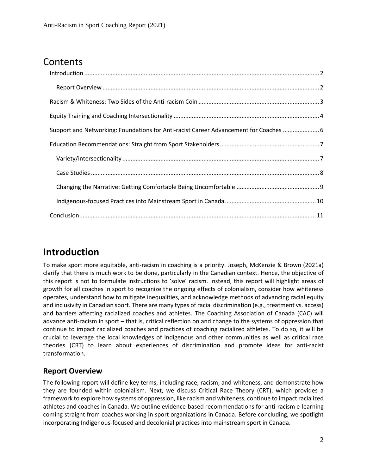# **Contents**

| Support and Networking: Foundations for Anti-racist Career Advancement for Coaches  6 |  |
|---------------------------------------------------------------------------------------|--|
|                                                                                       |  |
|                                                                                       |  |
|                                                                                       |  |
|                                                                                       |  |
|                                                                                       |  |
|                                                                                       |  |

# <span id="page-1-0"></span>**Introduction**

To make sport more equitable, anti-racism in coaching is a priority. Joseph, McKenzie & Brown (2021a) clarify that there is much work to be done, particularly in the Canadian context. Hence, the objective of this report is not to formulate instructions to 'solve' racism. Instead, this report will highlight areas of growth for all coaches in sport to recognize the ongoing effects of colonialism, consider how whiteness operates, understand how to mitigate inequalities, and acknowledge methods of advancing racial equity and inclusivity in Canadian sport. There are many types of racial discrimination (e.g., treatment vs. access) and barriers affecting racialized coaches and athletes. The Coaching Association of Canada (CAC) will advance anti-racism in sport – that is, critical reflection on and change to the systems of oppression that continue to impact racialized coaches and practices of coaching racialized athletes. To do so, it will be crucial to leverage the local knowledges of Indigenous and other communities as well as critical race theories (CRT) to learn about experiences of discrimination and promote ideas for anti-racist transformation.

#### <span id="page-1-1"></span>**Report Overview**

The following report will define key terms, including race, racism, and whiteness, and demonstrate how they are founded within colonialism. Next, we discuss Critical Race Theory (CRT), which provides a framework to explore how systems of oppression, like racism and whiteness, continue to impact racialized athletes and coaches in Canada. We outline evidence-based recommendations for anti-racism e-learning coming straight from coaches working in sport organizations in Canada. Before concluding, we spotlight incorporating Indigenous-focused and decolonial practices into mainstream sport in Canada.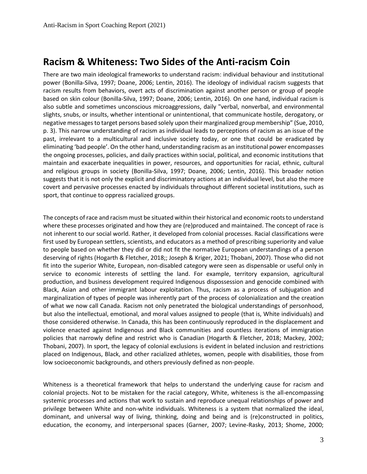## <span id="page-2-0"></span>**Racism & Whiteness: Two Sides of the Anti-racism Coin**

There are two main ideological frameworks to understand racism: individual behaviour and institutional power (Bonilla-Silva, 1997; Doane, 2006; Lentin, 2016). The ideology of individual racism suggests that racism results from behaviors, overt acts of discrimination against another person or group of people based on skin colour (Bonilla-Silva, 1997; Doane, 2006; Lentin, 2016). On one hand, individual racism is also subtle and sometimes unconscious microaggressions, daily "verbal, nonverbal, and environmental slights, snubs, or insults, whether intentional or unintentional, that communicate hostile, derogatory, or negative messages to target persons based solely upon their marginalized group membership" (Sue, 2010, p. 3). This narrow understanding of racism as individual leads to perceptions of racism as an issue of the past, irrelevant to a multicultural and inclusive society today, or one that could be eradicated by eliminating 'bad people'. On the other hand, understanding racism as an institutional power encompasses the ongoing processes, policies, and daily practices within social, political, and economic institutions that maintain and exacerbate inequalities in power, resources, and opportunities for racial, ethnic, cultural and religious groups in society (Bonilla-Silva, 1997; Doane, 2006; Lentin, 2016). This broader notion suggests that it is not only the explicit and discriminatory actions at an individual level, but also the more covert and pervasive processes enacted by individuals throughout different societal institutions, such as sport, that continue to oppress racialized groups.

The concepts of race and racism must be situated within their historical and economic roots to understand where these processes originated and how they are (re)produced and maintained. The concept of race is not inherent to our social world. Rather, it developed from colonial processes. Racial classifications were first used by European settlers, scientists, and educators as a method of prescribing superiority and value to people based on whether they did or did not fit the normative European understandings of a person deserving of rights (Hogarth & Fletcher, 2018;; Joseph & Kriger, 2021; Thobani, 2007). Those who did not fit into the superior White, European, non-disabled category were seen as dispensable or useful only in service to economic interests of settling the land. For example, territory expansion, agricultural production, and business development required Indigenous dispossession and genocide combined with Black, Asian and other immigrant labour exploitation. Thus, racism as a process of subjugation and marginalization of types of people was inherently part of the process of colonialization and the creation of what we now call Canada. Racism not only penetrated the biological understandings of personhood, but also the intellectual, emotional, and moral values assigned to people (that is, White individuals) and those considered otherwise. In Canada, this has been continuously reproduced in the displacement and violence enacted against Indigenous and Black communities and countless iterations of immigration policies that narrowly define and restrict who is Canadian (Hogarth & Fletcher, 2018; Mackey, 2002; Thobani, 2007). In sport, the legacy of colonial exclusions is evident in belated inclusion and restrictions placed on Indigenous, Black, and other racialized athletes, women, people with disabilities, those from low socioeconomic backgrounds, and others previously defined as non-people.

Whiteness is a theoretical framework that helps to understand the underlying cause for racism and colonial projects. Not to be mistaken for the racial category, White, whiteness is the all-encompassing systemic processes and actions that work to sustain and reproduce unequal relationships of power and privilege between White and non-white individuals. Whiteness is a system that normalized the ideal, dominant, and universal way of living, thinking, doing and being and is (re)constructed in politics, education, the economy, and interpersonal spaces (Garner, 2007; Levine-Rasky, 2013; Shome, 2000;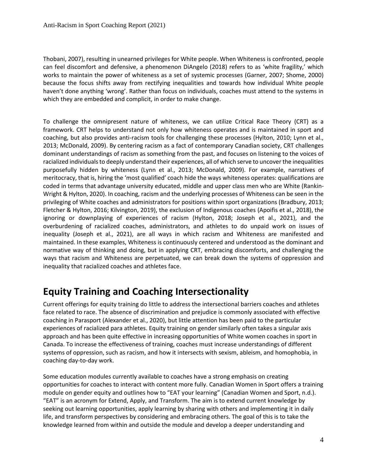Thobani, 2007), resulting in unearned privileges for White people. When Whiteness is confronted, people can feel discomfort and defensive, a phenomenon DiAngelo (2018) refers to as 'white fragility,' which works to maintain the power of whiteness as a set of systemic processes (Garner, 2007; Shome, 2000) because the focus shifts away from rectifying inequalities and towards how individual White people haven't done anything 'wrong'. Rather than focus on individuals, coaches must attend to the systems in which they are embedded and complicit, in order to make change.

To challenge the omnipresent nature of whiteness, we can utilize Critical Race Theory (CRT) as a framework. CRT helps to understand not only how whiteness operates and is maintained in sport and coaching, but also provides anti-racism tools for challenging these processes (Hylton, 2010; Lynn et al., 2013; McDonald, 2009). By centering racism as a fact of contemporary Canadian society, CRT challenges dominant understandings of racism as something from the past, and focuses on listening to the voices of racialized individuals to deeply understand their experiences, all of which serve to uncover the inequalities purposefully hidden by whiteness (Lynn et al., 2013; McDonald, 2009). For example, narratives of meritocracy, that is, hiring the 'most qualified' coach hide the ways whiteness operates: qualifications are coded in terms that advantage university educated, middle and upper class men who are White (Rankin-Wright & Hylton, 2020). In coaching, racism and the underlying processes of Whiteness can be seen in the privileging of White coaches and administrators for positions within sport organizations (Bradbury, 2013; Fletcher & Hylton, 2016; Kilvington, 2019), the exclusion of Indigenous coaches (Apoifis et al., 2018), the ignoring or downplaying of experiences of racism (Hylton, 2018; Joseph et al., 2021), and the overburdening of racialized coaches, administrators, and athletes to do unpaid work on issues of inequality (Joseph et al., 2021), are all ways in which racism and Whiteness are manifested and maintained. In these examples, Whiteness is continuously centered and understood as the dominant and normative way of thinking and doing, but in applying CRT, embracing discomforts, and challenging the ways that racism and Whiteness are perpetuated, we can break down the systems of oppression and inequality that racialized coaches and athletes face.

# <span id="page-3-0"></span>**Equity Training and Coaching Intersectionality**

Current offerings for equity training do little to address the intersectional barriers coaches and athletes face related to race. The absence of discrimination and prejudice is commonly associated with effective coaching in Parasport (Alexander et al., 2020), but little attention has been paid to the particular experiences of racialized para athletes. Equity training on gender similarly often takes a singular axis approach and has been quite effective in increasing opportunities of White women coaches in sport in Canada. To increase the effectiveness of training, coaches must increase understandings of different systems of oppression, such as racism, and how it intersects with sexism, ableism, and homophobia, in coaching day-to-day work.

Some education modules currently available to coaches have a strong emphasis on creating opportunities for coaches to interact with content more fully. Canadian Women in Sport offers a training module on gender equity and outlines how to "EAT your learning" (Canadian Women and Sport, n.d.). "EAT" is an acronym for Extend, Apply, and Transform. The aim is to extend current knowledge by seeking out learning opportunities, apply learning by sharing with others and implementing it in daily life, and transform perspectives by considering and embracing others. The goal of this is to take the knowledge learned from within and outside the module and develop a deeper understanding and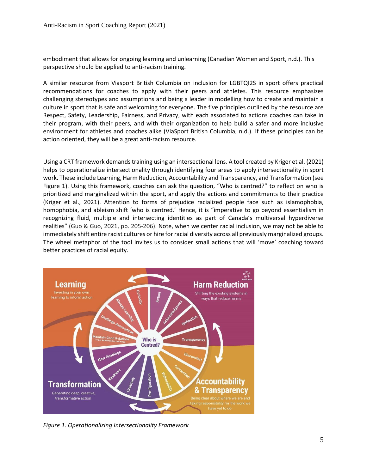embodiment that allows for ongoing learning and unlearning (Canadian Women and Sport, n.d.). This perspective should be applied to anti-racism training.

A similar resource from Viasport British Columbia on inclusion for LGBTQI2S in sport offers practical recommendations for coaches to apply with their peers and athletes. This resource emphasizes challenging stereotypes and assumptions and being a leader in modelling how to create and maintain a culture in sport that is safe and welcoming for everyone. The five principles outlined by the resource are Respect, Safety, Leadership, Fairness, and Privacy, with each associated to actions coaches can take in their program, with their peers, and with their organization to help build a safer and more inclusive environment for athletes and coaches alike (ViaSport British Columbia, n.d.). If these principles can be action oriented, they will be a great anti-racism resource.

Using a CRT framework demands training using an intersectional lens. A tool created by Kriger et al. (2021) helps to operationalize intersectionality through identifying four areas to apply intersectionality in sport work. These include Learning, Harm Reduction, Accountability and Transparency, and Transformation (see Figure 1). Using this framework, coaches can ask the question, "Who is centred?" to reflect on who is prioritized and marginalized within the sport, and apply the actions and commitments to their practice (Kriger et al., 2021). Attention to forms of prejudice racialized people face such as islamophobia, homophobia, and ableism shift 'who is centred.' Hence, it is "imperative to go beyond essentialism in recognizing fluid, multiple and intersecting identities as part of Canada's multiversal hyperdiverse realities" (Guo & Guo, 2021, pp. 205-206). Note, when we center racial inclusion, we may not be able to immediately shift entire racist cultures or hire for racial diversity across all previously marginalized groups. The wheel metaphor of the tool invites us to consider small actions that will 'move' coaching toward better practices of racial equity.



*Figure 1. Operationalizing Intersectionality Framework*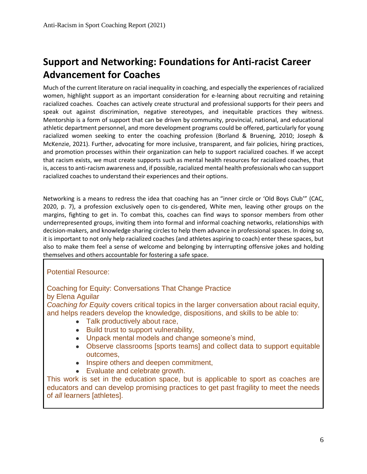# <span id="page-5-0"></span>**Support and Networking: Foundations for Anti-racist Career Advancement for Coaches**

Much of the current literature on racial inequality in coaching, and especially the experiences of racialized women, highlight support as an important consideration for e-learning about recruiting and retaining racialized coaches. Coaches can actively create structural and professional supports for their peers and speak out against discrimination, negative stereotypes, and inequitable practices they witness. Mentorship is a form of support that can be driven by community, provincial, national, and educational athletic department personnel, and more development programs could be offered, particularly for young racialized women seeking to enter the coaching profession (Borland & Bruening, 2010; Joseph & McKenzie, 2021). Further, advocating for more inclusive, transparent, and fair policies, hiring practices, and promotion processes within their organization can help to support racialized coaches. If we accept that racism exists, we must create supports such as mental health resources for racialized coaches, that is, access to anti-racism awareness and, if possible, racialized mental health professionals who can support racialized coaches to understand their experiences and their options.

Networking is a means to redress the idea that coaching has an "inner circle or 'Old Boys Club'" (CAC, 2020, p. 7), a profession exclusively open to cis-gendered, White men, leaving other groups on the margins, fighting to get in. To combat this, coaches can find ways to sponsor members from other underrepresented groups, inviting them into formal and informal coaching networks, relationships with decision-makers, and knowledge sharing circles to help them advance in professional spaces. In doing so, it is important to not only help racialized coaches (and athletes aspiring to coach) enter these spaces, but also to make them feel a sense of welcome and belonging by interrupting offensive jokes and holding themselves and others accountable for fostering a safe space.

#### Potential Resource:

Coaching for Equity: Conversations That Change Practice by Elena Aguilar

*Coaching for Equity* covers critical topics in the larger conversation about racial equity, and helps readers develop the knowledge, dispositions, and skills to be able to:

- Talk productively about race,
- Build trust to support vulnerability.
- Unpack mental models and change someone's mind,
- Observe classrooms [sports teams] and collect data to support equitable outcomes,
- Inspire others and deepen commitment,
- Evaluate and celebrate growth.

This work is set in the education space, but is applicable to sport as coaches are educators and can develop promising practices to get past fragility to meet the needs of *all* learners [athletes].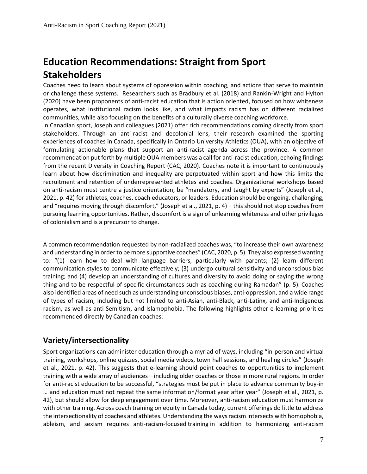# <span id="page-6-0"></span>**Education Recommendations: Straight from Sport Stakeholders**

Coaches need to learn about systems of oppression within coaching, and actions that serve to maintain or challenge these systems. Researchers such as Bradbury et al. (2018) and Rankin-Wright and Hylton (2020) have been proponents of anti-racist education that is action oriented, focused on how whiteness operates, what institutional racism looks like, and what impacts racism has on different racialized communities, while also focusing on the benefits of a culturally diverse coaching workforce.

In Canadian sport, Joseph and colleagues (2021) offer rich recommendations coming directly from sport stakeholders. Through an anti-racist and decolonial lens, their research examined the sporting experiences of coaches in Canada, specifically in Ontario University Athletics (OUA), with an objective of formulating actionable plans that support an anti-racist agenda across the province. A common recommendation put forth by multiple OUA members was a call for anti-racist education, echoing findings from the recent Diversity in Coaching Report (CAC, 2020). Coaches note it is important to continuously learn about how discrimination and inequality are perpetuated within sport and how this limits the recruitment and retention of underrepresented athletes and coaches. Organizational workshops based on anti-racism must centre a justice orientation, be "mandatory, and taught by experts" (Joseph et al., 2021, p. 42) for athletes, coaches, coach educators, or leaders. Education should be ongoing, challenging, and "requires moving through discomfort," (Joseph et al., 2021, p. 4) – this should not stop coaches from pursuing learning opportunities. Rather, discomfort is a sign of unlearning whiteness and other privileges of colonialism and is a precursor to change.

A common recommendation requested by non-racialized coaches was, "to increase their own awareness and understanding in order to be more supportive coaches" (CAC, 2020, p. 5). They also expressed wanting to: "(1) learn how to deal with language barriers, particularly with parents; (2) learn different communication styles to communicate effectively; (3) undergo cultural sensitivity and unconscious bias training; and (4) develop an understanding of cultures and diversity to avoid doing or saying the wrong thing and to be respectful of specific circumstances such as coaching during Ramadan" (p. 5). Coaches also identified areas of need such as understanding unconscious biases, anti-oppression, and a wide range of types of racism, including but not limited to anti-Asian, anti-Black, anti-Latinx, and anti-Indigenous racism, as well as anti-Semitism, and Islamophobia. The following highlights other e-learning priorities recommended directly by Canadian coaches:

#### <span id="page-6-1"></span>**Variety/intersectionality**

Sport organizations can administer education through a myriad of ways, including "in-person and virtual training, workshops, online quizzes, social media videos, town hall sessions, and healing circles" (Joseph et al., 2021, p. 42). This suggests that e-learning should point coaches to opportunities to implement training with a wide array of audiences—including older coaches or those in more rural regions. In order for anti-racist education to be successful, "strategies must be put in place to advance community buy-in … and education must not repeat the same information/format year after year" (Joseph et al., 2021, p. 42), but should allow for deep engagement over time. Moreover, anti-racism education must harmonize with other training. Across coach training on equity in Canada today, current offerings do little to address the intersectionality of coaches and athletes. Understanding the ways racism intersects with homophobia, ableism, and sexism requires anti-racism-focused training in addition to harmonizing anti-racism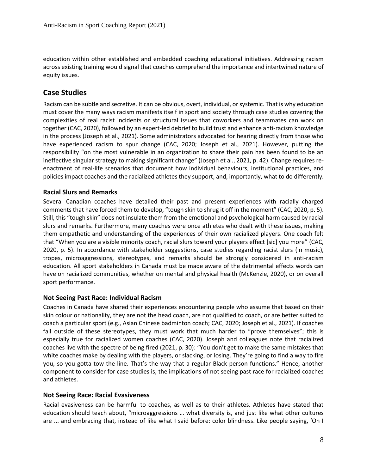education within other established and embedded coaching educational initiatives. Addressing racism across existing training would signal that coaches comprehend the importance and intertwined nature of equity issues.

#### <span id="page-7-0"></span>**Case Studies**

Racism can be subtle and secretive. It can be obvious, overt, individual, or systemic. That is why education must cover the many ways racism manifests itself in sport and society through case studies covering the complexities of real racist incidents or structural issues that coworkers and teammates can work on together (CAC, 2020), followed by an expert-led debrief to build trust and enhance anti-racism knowledge in the process (Joseph et al., 2021). Some administrators advocated for hearing directly from those who have experienced racism to spur change (CAC, 2020; Joseph et al., 2021). However, putting the responsibility "on the most vulnerable in an organization to share their pain has been found to be an ineffective singular strategy to making significant change" (Joseph et al., 2021, p. 42). Change requires reenactment of real-life scenarios that document how individual behaviours, institutional practices, and policies impact coaches and the racialized athletes they support, and, importantly, what to do differently.

#### **Racial Slurs and Remarks**

Several Canadian coaches have detailed their past and present experiences with racially charged comments that have forced them to develop, "tough skin to shrug it off in the moment" (CAC, 2020, p. 5). Still, this "tough skin" does not insulate them from the emotional and psychological harm caused by racial slurs and remarks. Furthermore, many coaches were once athletes who dealt with these issues, making them empathetic and understanding of the experiences of their own racialized players. One coach felt that "When you are a visible minority coach, racial slurs toward your players effect [sic] you more" (CAC, 2020, p. 5). In accordance with stakeholder suggestions, case studies regarding racist slurs (in music), tropes, microaggressions, stereotypes, and remarks should be strongly considered in anti-racism education. All sport stakeholders in Canada must be made aware of the detrimental effects words can have on racialized communities, whether on mental and physical health (McKenzie, 2020), or on overall sport performance.

#### **Not Seeing Past Race: Individual Racism**

Coaches in Canada have shared their experiences encountering people who assume that based on their skin colour or nationality, they are not the head coach, are not qualified to coach, or are better suited to coach a particular sport (e.g., Asian Chinese badminton coach; CAC, 2020; Joseph et al., 2021). If coaches fall outside of these stereotypes, they must work that much harder to "prove themselves"; this is especially true for racialized women coaches (CAC, 2020). Joseph and colleagues note that racialized coaches live with the spectre of being fired (2021, p. 30): "You don't get to make the same mistakes that white coaches make by dealing with the players, or slacking, or losing. They're going to find a way to fire you, so you gotta tow the line. That's the way that a regular Black person functions." Hence, another component to consider for case studies is, the implications of not seeing past race for racialized coaches and athletes.

#### **Not Seeing Race: Racial Evasiveness**

Racial evasiveness can be harmful to coaches, as well as to their athletes. Athletes have stated that education should teach about, "microaggressions … what diversity is, and just like what other cultures are ... and embracing that, instead of like what I said before: color blindness. Like people saying, 'Oh I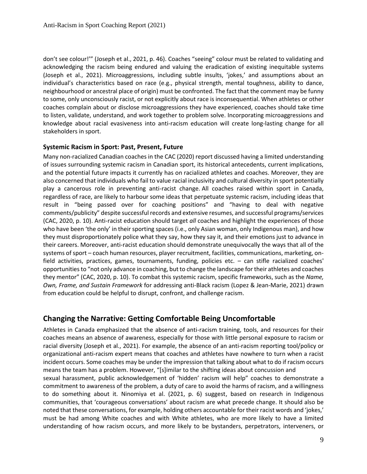don't see colour!'" (Joseph et al., 2021, p. 46). Coaches "seeing" colour must be related to validating and acknowledging the racism being endured and valuing the eradication of existing inequitable systems (Joseph et al., 2021). Microaggressions, including subtle insults, 'jokes,' and assumptions about an individual's characteristics based on race (e.g., physical strength, mental toughness, ability to dance, neighbourhood or ancestral place of origin) must be confronted. The fact that the comment may be funny to some, only unconsciously racist, or not explicitly about race is inconsequential. When athletes or other coaches complain about or disclose microaggressions they have experienced, coaches should take time to listen, validate, understand, and work together to problem solve. Incorporating microaggressions and knowledge about racial evasiveness into anti-racism education will create long-lasting change for all stakeholders in sport.

#### **Systemic Racism in Sport: Past, Present, Future**

Many non-racialized Canadian coaches in the CAC (2020) report discussed having a limited understanding of issues surrounding systemic racism in Canadian sport, its historical antecedents, current implications, and the potential future impacts it currently has on racialized athletes and coaches. Moreover, they are also concerned that individuals who fail to value racial inclusivity and cultural diversity in sport potentially play a cancerous role in preventing anti-racist change. All coaches raised within sport in Canada, regardless of race, are likely to harbour some ideas that perpetuate systemic racism, including ideas that result in "being passed over for coaching positions" and "having to deal with negative comments/publicity" despite successful records and extensive resumes, and successful programs/services (CAC, 2020, p. 10). Anti-racist education should target *all* coaches and highlight the experiences of those who have been 'the only' in their sporting spaces (i.e., only Asian woman, only Indigenous man), and how they must disproportionately police what they say, how they say it, and their emotions just to advance in their careers. Moreover, anti-racist education should demonstrate unequivocally the ways that all of the systems of sport – coach human resources, player recruitment, facilities, communications, marketing, onfield activities, practices, games, tournaments, funding, policies etc. – can stifle racialized coaches' opportunities to "not only advance in coaching, but to change the landscape for their athletes and coaches they mentor" (CAC, 2020, p. 10). To combat this systemic racism, specific frameworks, such as the *Name, Own, Frame, and Sustain Framework* for addressing anti-Black racism (Lopez & Jean-Marie, 2021) drawn from education could be helpful to disrupt, confront, and challenge racism.

#### <span id="page-8-0"></span>**Changing the Narrative: Getting Comfortable Being Uncomfortable**

Athletes in Canada emphasized that the absence of anti-racism training, tools, and resources for their coaches means an absence of awareness, especially for those with little personal exposure to racism or racial diversity (Joseph et al., 2021). For example, the absence of an anti-racism reporting tool/policy or organizational anti-racism expert means that coaches and athletes have nowhere to turn when a racist incident occurs. Some coaches may be under the impression that talking about what to do if racism occurs means the team has a problem. However, "[s]imilar to the shifting ideas about concussion and

sexual harassment, public acknowledgement of 'hidden' racism will help" coaches to demonstrate a commitment to awareness of the problem, a duty of care to avoid the harms of racism, and a willingness to do something about it. Ninomiya et al. (2021, p. 6) suggest, based on research in Indigenous communities, that 'courageous conversations' about racism are what precede change. It should also be noted that these conversations, for example, holding others accountable for their racist words and 'jokes,' must be had among White coaches and with White athletes, who are more likely to have a limited understanding of how racism occurs, and more likely to be bystanders, perpetrators, interveners, or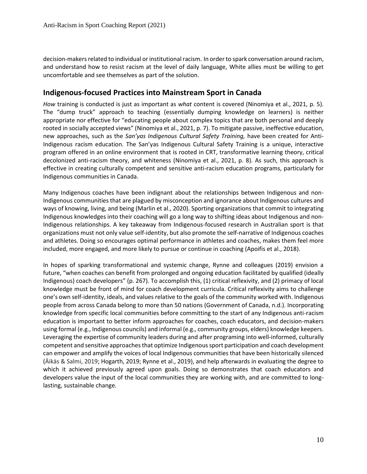decision-makers related to individual or institutional racism. In order to spark conversation around racism, and understand how to resist racism at the level of daily language, White allies must be willing to get uncomfortable and see themselves as part of the solution.

#### <span id="page-9-0"></span>**Indigenous-focused Practices into Mainstream Sport in Canada**

*How* training is conducted is just as important as *what* content is covered (Ninomiya et al., 2021, p. 5). The "dump truck" approach to teaching (essentially dumping knowledge on learners) is neither appropriate nor effective for "educating people about complex topics that are both personal and deeply rooted in socially accepted views" (Ninomiya et al., 2021, p. 7). To mitigate passive, ineffective education, new approaches, such as the *San'yas Indigenous Cultural Safety Training,* have been created for Anti-Indigenous racism education. The San'yas Indigenous Cultural Safety Training is a unique, interactive program offered in an online environment that is rooted in CRT, transformative learning theory, critical decolonized anti-racism theory, and whiteness (Ninomiya et al., 2021, p. 8). As such, this approach is effective in creating culturally competent and sensitive anti-racism education programs, particularly for Indigenous communities in Canada.

Many Indigenous coaches have been indignant about the relationships between Indigenous and non-Indigenous communities that are plagued by misconception and ignorance about Indigenous cultures and ways of knowing, living, and being (Marlin et al., 2020). Sporting organizations that commit to integrating Indigenous knowledges into their coaching will go a long way to shifting ideas about Indigenous and non-Indigenous relationships. A key takeaway from Indigenous-focused research in Australian sport is that organizations must not only value self-identity, but also promote the self-narrative of Indigenous coaches and athletes. Doing so encourages optimal performance in athletes and coaches, makes them feel more included, more engaged, and more likely to pursue or continue in coaching (Apoifis et al., 2018).

In hopes of sparking transformational and systemic change, Rynne and colleagues (2019) envision a future, "when coaches can benefit from prolonged and ongoing education facilitated by qualified (ideally Indigenous) coach developers" (p. 267). To accomplish this, (1) critical reflexivity, and (2) primacy of local knowledge must be front of mind for coach development curricula. Critical reflexivity aims to challenge one's own self-identity, ideals, and values relative to the goals of the community worked with. Indigenous people from across Canada belong to more than 50 nations (Government of Canada, n.d.). Incorporating knowledge from specific local communities before committing to the start of any Indigenous anti-racism education is important to better inform approaches for coaches, coach educators, and decision-makers using formal (e.g., Indigenous councils) and informal (e.g., community groups, elders) knowledge keepers. Leveraging the expertise of community leaders during and after programing into well-informed, culturally competent and sensitive approaches that optimize Indigenous sport participation and coach development can empower and amplify the voices of local Indigenous communities that have been historically silenced (Äikäs & Salmi, 2019; Hogarth, 2019; Rynne et al., 2019), and help afterwards in evaluating the degree to which it achieved previously agreed upon goals. Doing so demonstrates that coach educators and developers value the input of the local communities they are working with, and are committed to longlasting, sustainable change.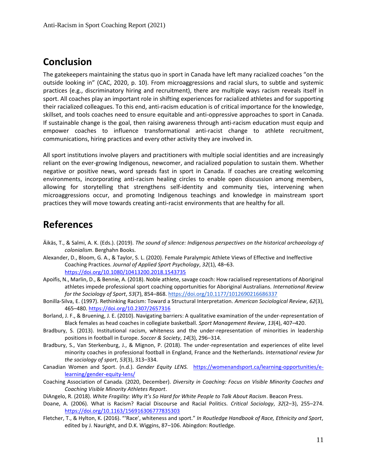## <span id="page-10-0"></span>**Conclusion**

The gatekeepers maintaining the status quo in sport in Canada have left many racialized coaches "on the outside looking in" (CAC, 2020, p. 10). From microaggressions and racial slurs, to subtle and systemic practices (e.g., discriminatory hiring and recruitment), there are multiple ways racism reveals itself in sport. All coaches play an important role in shifting experiences for racialized athletes and for supporting their racialized colleagues. To this end, anti-racism education is of critical importance for the knowledge, skillset, and tools coaches need to ensure equitable and anti-oppressive approaches to sport in Canada. If sustainable change is the goal, then raising awareness through anti-racism education must equip and empower coaches to influence transformational anti-racist change to athlete recruitment, communications, hiring practices and every other activity they are involved in.

All sport institutions involve players and practitioners with multiple social identities and are increasingly reliant on the ever-growing Indigenous, newcomer, and racialized population to sustain them. Whether negative or positive news, word spreads fast in sport in Canada. If coaches are creating welcoming environments, incorporating anti-racism healing circles to enable open discussion among members, allowing for storytelling that strengthens self-identity and community ties, intervening when microaggressions occur, and promoting Indigenous teachings and knowledge in mainstream sport practices they will move towards creating anti-racist environments that are healthy for all.

### **References**

- Äikäs, T., & Salmi, A. K. (Eds.). (2019). *The sound of silence: Indigenous perspectives on the historical archaeology of colonialism*. Berghahn Books.
- Alexander, D., Bloom, G. A., & Taylor, S. L. (2020). Female Paralympic Athlete Views of Effective and Ineffective Coaching Practices. *Journal of Applied Sport Psychology*, *32*(1), 48–63. <https://doi.org/10.1080/10413200.2018.1543735>
- Apoifis, N., Marlin, D., & Bennie, A. (2018). Noble athlete, savage coach: How racialised representations of Aboriginal athletes impede professional sport coaching opportunities for Aboriginal Australians. *International Review for the Sociology of Sport*, *53*(7), 854–868.<https://doi.org/10.1177/1012690216686337>
- Bonilla-Silva, E. (1997). Rethinking Racism: Toward a Structural Interpretation. *American Sociological Review*, *62*(3), 465–480. <https://doi.org/10.2307/2657316>
- Borland, J. F., & Bruening, J. E. (2010). Navigating barriers: A qualitative examination of the under-representation of Black females as head coaches in collegiate basketball. *Sport Management Review*, *13*(4), 407–420.
- Bradbury, S. (2013). Institutional racism, whiteness and the under-representation of minorities in leadership positions in football in Europe. *Soccer & Society*, *14*(3), 296–314.
- Bradbury, S., Van Sterkenburg, J., & Mignon, P. (2018). The under-representation and experiences of elite level minority coaches in professional football in England, France and the Netherlands. *International review for the sociology of sport*, *53*(3), 313–334.
- Canadian Women and Sport. (n.d.). *Gender Equity LENS.* [https://womenandsport.ca/learning-opportunities/e](https://womenandsport.ca/learning-opportunities/e-learning/gender-equity-lens/)[learning/gender-equity-lens/](https://womenandsport.ca/learning-opportunities/e-learning/gender-equity-lens/)
- Coaching Association of Canada. (2020, December). *Diversity in Coaching: Focus on Visible Minority Coaches and Coaching Visible Minority Athletes Report*.
- DiAngelo, R. (2018). *White Fragility: Why It's So Hard for White People to Talk About Racism*. Beacon Press.
- Doane, A. (2006). What is Racism? Racial Discourse and Racial Politics. *Critical Sociology*, *32*(2–3), 255–274[.](https://doi.org/10.1163/156916306777835303) <https://doi.org/10.1163/156916306777835303>
- Fletcher, T., & Hylton, K. (2016). "'Race', whiteness and sport." *In Routledge Handbook of Race, Ethnicity and Sport*, edited by J. Nauright, and D.K. Wiggins, 87–106. Abingdon: Routledge.